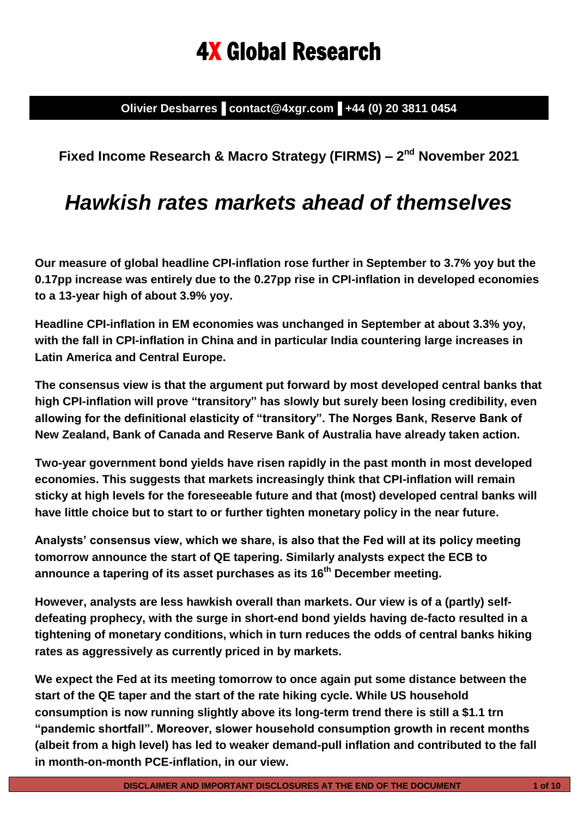# 4X Global Research

**Olivier Desbarres▐ contact@4xgr.com▐ +44 (0) 20 3811 0454**

**Fixed Income Research & Macro Strategy (FIRMS) – 2 nd November 2021**

## *Hawkish rates markets ahead of themselves*

**Our measure of global headline CPI-inflation rose further in September to 3.7% yoy but the 0.17pp increase was entirely due to the 0.27pp rise in CPI-inflation in developed economies to a 13-year high of about 3.9% yoy.** 

**Headline CPI-inflation in EM economies was unchanged in September at about 3.3% yoy, with the fall in CPI-inflation in China and in particular India countering large increases in Latin America and Central Europe.**

**The consensus view is that the argument put forward by most developed central banks that high CPI-inflation will prove "transitory" has slowly but surely been losing credibility, even allowing for the definitional elasticity of "transitory". The Norges Bank, Reserve Bank of New Zealand, Bank of Canada and Reserve Bank of Australia have already taken action.** 

**Two-year government bond yields have risen rapidly in the past month in most developed economies. This suggests that markets increasingly think that CPI-inflation will remain sticky at high levels for the foreseeable future and that (most) developed central banks will have little choice but to start to or further tighten monetary policy in the near future.**

**Analysts' consensus view, which we share, is also that the Fed will at its policy meeting tomorrow announce the start of QE tapering. Similarly analysts expect the ECB to announce a tapering of its asset purchases as its 16th December meeting.**

**However, analysts are less hawkish overall than markets. Our view is of a (partly) selfdefeating prophecy, with the surge in short-end bond yields having de-facto resulted in a tightening of monetary conditions, which in turn reduces the odds of central banks hiking rates as aggressively as currently priced in by markets.**

**We expect the Fed at its meeting tomorrow to once again put some distance between the start of the QE taper and the start of the rate hiking cycle. While US household consumption is now running slightly above its long-term trend there is still a \$1.1 trn "pandemic shortfall". Moreover, slower household consumption growth in recent months (albeit from a high level) has led to weaker demand-pull inflation and contributed to the fall in month-on-month PCE-inflation, in our view.**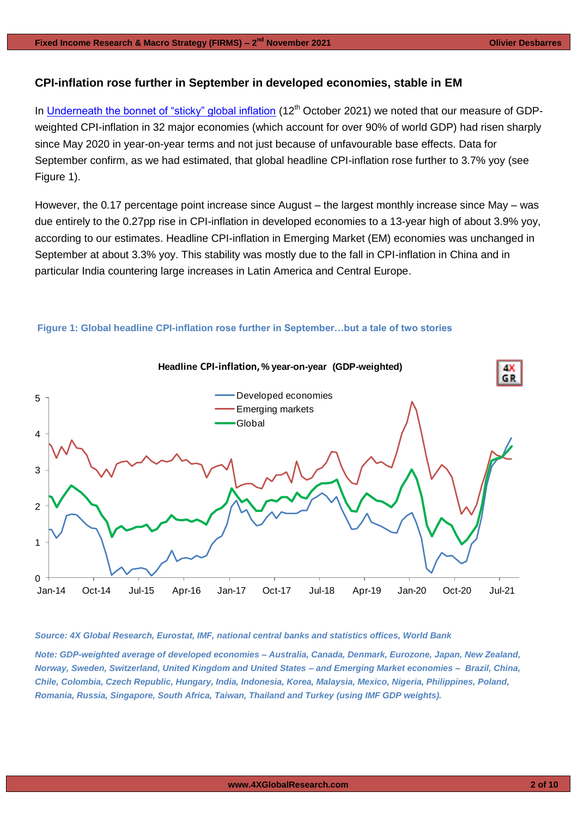## **CPI-inflation rose further in September in developed economies, stable in EM**

In [Underneath the bonnet of "sticky" global inflation](https://www.4xglobalresearch.com/wp-content/uploads/2021/10/4X-Global-Research_Underneath-the-bonnet-of-sticky-global-inflation.pdf) (12<sup>th</sup> October 2021) we noted that our measure of GDPweighted CPI-inflation in 32 major economies (which account for over 90% of world GDP) had risen sharply since May 2020 in year-on-year terms and not just because of unfavourable base effects. Data for September confirm, as we had estimated, that global headline CPI-inflation rose further to 3.7% yoy (see Figure 1).

However, the 0.17 percentage point increase since August – the largest monthly increase since May – was due entirely to the 0.27pp rise in CPI-inflation in developed economies to a 13-year high of about 3.9% yoy, according to our estimates. Headline CPI-inflation in Emerging Market (EM) economies was unchanged in September at about 3.3% yoy. This stability was mostly due to the fall in CPI-inflation in China and in particular India countering large increases in Latin America and Central Europe.



#### **Figure 1: Global headline CPI-inflation rose further in September…but a tale of two stories**

#### *Source: 4X Global Research, Eurostat, IMF, national central banks and statistics offices, World Bank*

*Note: GDP-weighted average of developed economies – Australia, Canada, Denmark, Eurozone, Japan, New Zealand, Norway, Sweden, Switzerland, United Kingdom and United States – and Emerging Market economies – Brazil, China, Chile, Colombia, Czech Republic, Hungary, India, Indonesia, Korea, Malaysia, Mexico, Nigeria, Philippines, Poland, Romania, Russia, Singapore, South Africa, Taiwan, Thailand and Turkey (using IMF GDP weights).*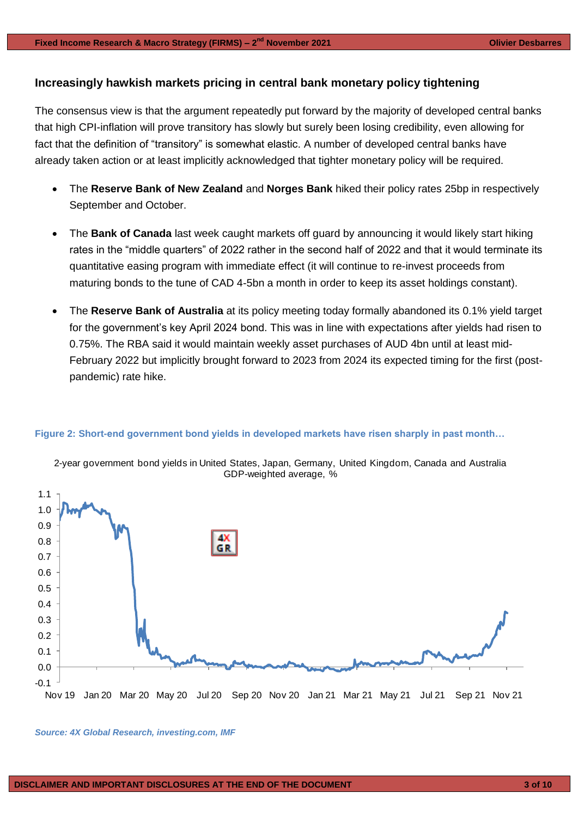## **Increasingly hawkish markets pricing in central bank monetary policy tightening**

The consensus view is that the argument repeatedly put forward by the majority of developed central banks that high CPI-inflation will prove transitory has slowly but surely been losing credibility, even allowing for fact that the definition of "transitory" is somewhat elastic. A number of developed central banks have already taken action or at least implicitly acknowledged that tighter monetary policy will be required.

- The **Reserve Bank of New Zealand** and **Norges Bank** hiked their policy rates 25bp in respectively September and October.
- The **Bank of Canada** last week caught markets off guard by announcing it would likely start hiking rates in the "middle quarters" of 2022 rather in the second half of 2022 and that it would terminate its quantitative easing program with immediate effect (it will continue to re-invest proceeds from maturing bonds to the tune of CAD 4-5bn a month in order to keep its asset holdings constant).
- The **Reserve Bank of Australia** at its policy meeting today formally abandoned its 0.1% yield target for the government's key April 2024 bond. This was in line with expectations after yields had risen to 0.75%. The RBA said it would maintain weekly asset purchases of AUD 4bn until at least mid-February 2022 but implicitly brought forward to 2023 from 2024 its expected timing for the first (postpandemic) rate hike.



## **Figure 2: Short-end government bond yields in developed markets have risen sharply in past month…**

2-year government bond yields in United States, Japan, Germany, United Kingdom, Canada and Australia

*Source: 4X Global Research, investing.com, IMF*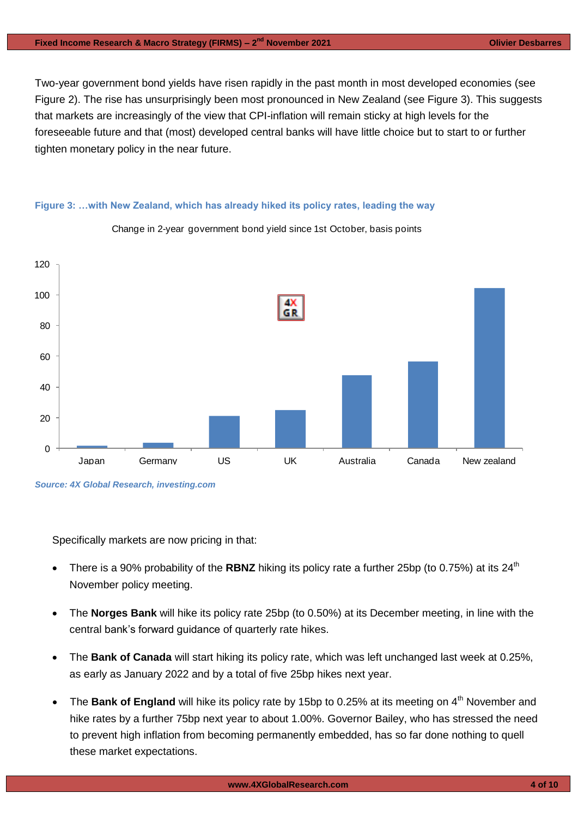Two-year government bond yields have risen rapidly in the past month in most developed economies (see Figure 2). The rise has unsurprisingly been most pronounced in New Zealand (see Figure 3). This suggests that markets are increasingly of the view that CPI-inflation will remain sticky at high levels for the foreseeable future and that (most) developed central banks will have little choice but to start to or further tighten monetary policy in the near future.

## **Figure 3: …with New Zealand, which has already hiked its policy rates, leading the way**



Change in 2-year government bond yield since 1st October, basis points

Specifically markets are now pricing in that:

- There is a 90% probability of the **RBNZ** hiking its policy rate a further 25bp (to 0.75%) at its 24<sup>th</sup> November policy meeting.
- The **Norges Bank** will hike its policy rate 25bp (to 0.50%) at its December meeting, in line with the central bank's forward guidance of quarterly rate hikes.
- The **Bank of Canada** will start hiking its policy rate, which was left unchanged last week at 0.25%, as early as January 2022 and by a total of five 25bp hikes next year.
- The Bank of England will hike its policy rate by 15bp to 0.25% at its meeting on 4<sup>th</sup> November and hike rates by a further 75bp next year to about 1.00%. Governor Bailey, who has stressed the need to prevent high inflation from becoming permanently embedded, has so far done nothing to quell these market expectations.

*Source: 4X Global Research, investing.com*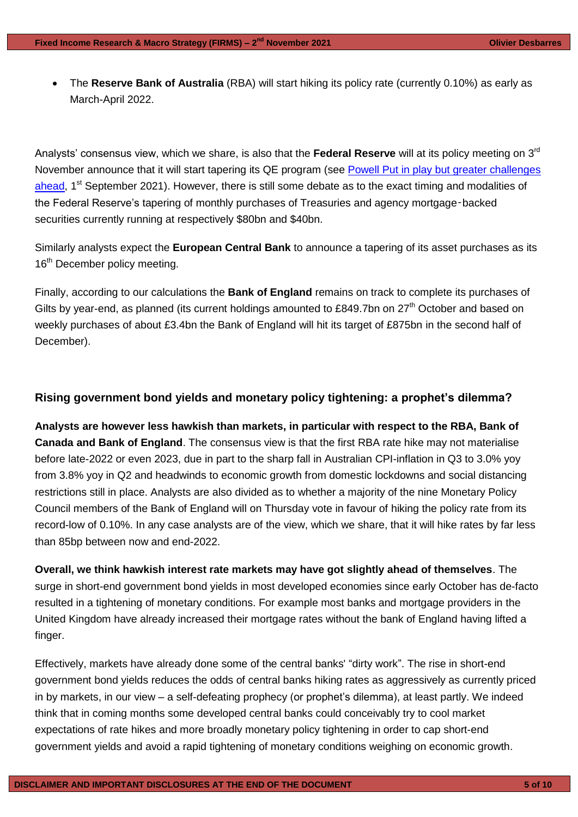The **Reserve Bank of Australia** (RBA) will start hiking its policy rate (currently 0.10%) as early as March-April 2022.

Analysts' consensus view, which we share, is also that the **Federal Reserve** will at its policy meeting on 3rd November announce that it will start tapering its QE program (see Powell Put in play but greater challenges [ahead,](https://www.4xglobalresearch.com/wp-content/uploads/2021/09/4X-Global-Research_Powell-Put-in-play-but-greater-challenges-ahead.pdf) 1<sup>st</sup> September 2021). However, there is still some debate as to the exact timing and modalities of the Federal Reserve's tapering of monthly purchases of Treasuries and agency mortgage‑backed securities currently running at respectively \$80bn and \$40bn.

Similarly analysts expect the **European Central Bank** to announce a tapering of its asset purchases as its 16<sup>th</sup> December policy meeting.

Finally, according to our calculations the **Bank of England** remains on track to complete its purchases of Gilts by year-end, as planned (its current holdings amounted to £849.7bn on  $27<sup>th</sup>$  October and based on weekly purchases of about £3.4bn the Bank of England will hit its target of £875bn in the second half of December).

## **Rising government bond yields and monetary policy tightening: a prophet's dilemma?**

**Analysts are however less hawkish than markets, in particular with respect to the RBA, Bank of Canada and Bank of England**. The consensus view is that the first RBA rate hike may not materialise before late-2022 or even 2023, due in part to the sharp fall in Australian CPI-inflation in Q3 to 3.0% yoy from 3.8% yoy in Q2 and headwinds to economic growth from domestic lockdowns and social distancing restrictions still in place. Analysts are also divided as to whether a majority of the nine Monetary Policy Council members of the Bank of England will on Thursday vote in favour of hiking the policy rate from its record-low of 0.10%. In any case analysts are of the view, which we share, that it will hike rates by far less than 85bp between now and end-2022.

**Overall, we think hawkish interest rate markets may have got slightly ahead of themselves**. The surge in short-end government bond yields in most developed economies since early October has de-facto resulted in a tightening of monetary conditions. For example most banks and mortgage providers in the United Kingdom have already increased their mortgage rates without the bank of England having lifted a finger.

Effectively, markets have already done some of the central banks' "dirty work". The rise in short-end government bond yields reduces the odds of central banks hiking rates as aggressively as currently priced in by markets, in our view – a self-defeating prophecy (or prophet's dilemma), at least partly. We indeed think that in coming months some developed central banks could conceivably try to cool market expectations of rate hikes and more broadly monetary policy tightening in order to cap short-end government yields and avoid a rapid tightening of monetary conditions weighing on economic growth.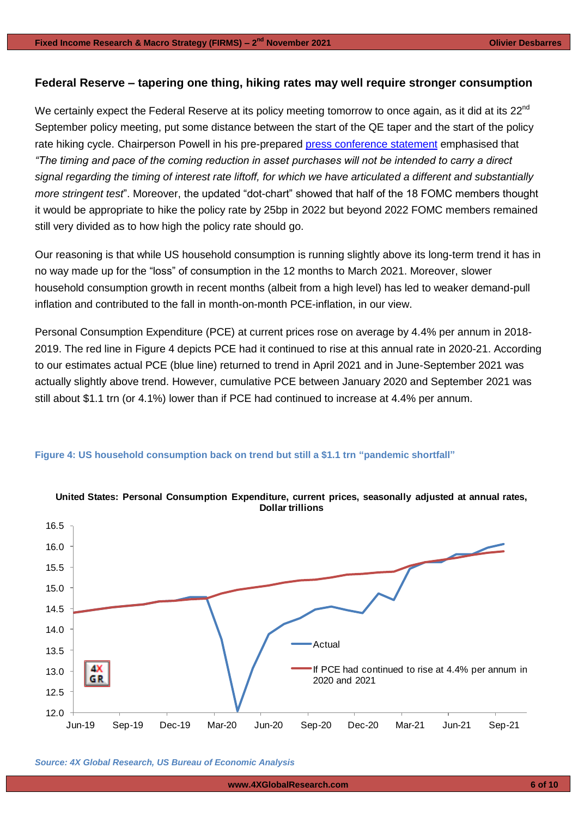## **Federal Reserve – tapering one thing, hiking rates may well require stronger consumption**

We certainly expect the Federal Reserve at its policy meeting tomorrow to once again, as it did at its 22<sup>nd</sup> September policy meeting, put some distance between the start of the QE taper and the start of the policy rate hiking cycle. Chairperson Powell in his pre-prepared [press conference](https://www.federalreserve.gov/mediacenter/files/FOMCpresconf20210922.pdf) statement emphasised that *"The timing and pace of the coming reduction in asset purchases will not be intended to carry a direct signal regarding the timing of interest rate liftoff, for which we have articulated a different and substantially more stringent test*". Moreover, the updated "dot-chart" showed that half of the 18 FOMC members thought it would be appropriate to hike the policy rate by 25bp in 2022 but beyond 2022 FOMC members remained still very divided as to how high the policy rate should go.

Our reasoning is that while US household consumption is running slightly above its long-term trend it has in no way made up for the "loss" of consumption in the 12 months to March 2021. Moreover, slower household consumption growth in recent months (albeit from a high level) has led to weaker demand-pull inflation and contributed to the fall in month-on-month PCE-inflation, in our view.

Personal Consumption Expenditure (PCE) at current prices rose on average by 4.4% per annum in 2018- 2019. The red line in Figure 4 depicts PCE had it continued to rise at this annual rate in 2020-21. According to our estimates actual PCE (blue line) returned to trend in April 2021 and in June-September 2021 was actually slightly above trend. However, cumulative PCE between January 2020 and September 2021 was still about \$1.1 trn (or 4.1%) lower than if PCE had continued to increase at 4.4% per annum.



## **Figure 4: US household consumption back on trend but still a \$1.1 trn "pandemic shortfall"**

*Source: 4X Global Research, US Bureau of Economic Analysis*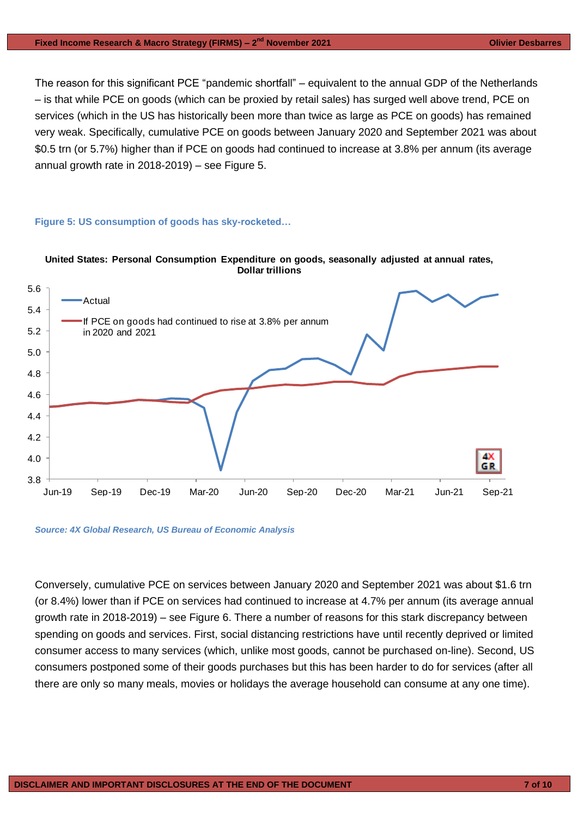The reason for this significant PCE "pandemic shortfall" – equivalent to the annual GDP of the Netherlands – is that while PCE on goods (which can be proxied by retail sales) has surged well above trend, PCE on services (which in the US has historically been more than twice as large as PCE on goods) has remained very weak. Specifically, cumulative PCE on goods between January 2020 and September 2021 was about \$0.5 trn (or 5.7%) higher than if PCE on goods had continued to increase at 3.8% per annum (its average annual growth rate in  $2018-2019$  – see Figure 5.

## **Figure 5: US consumption of goods has sky-rocketed…**





*Source: 4X Global Research, US Bureau of Economic Analysis*

Conversely, cumulative PCE on services between January 2020 and September 2021 was about \$1.6 trn (or 8.4%) lower than if PCE on services had continued to increase at 4.7% per annum (its average annual growth rate in 2018-2019) – see Figure 6. There a number of reasons for this stark discrepancy between spending on goods and services. First, social distancing restrictions have until recently deprived or limited consumer access to many services (which, unlike most goods, cannot be purchased on-line). Second, US consumers postponed some of their goods purchases but this has been harder to do for services (after all there are only so many meals, movies or holidays the average household can consume at any one time).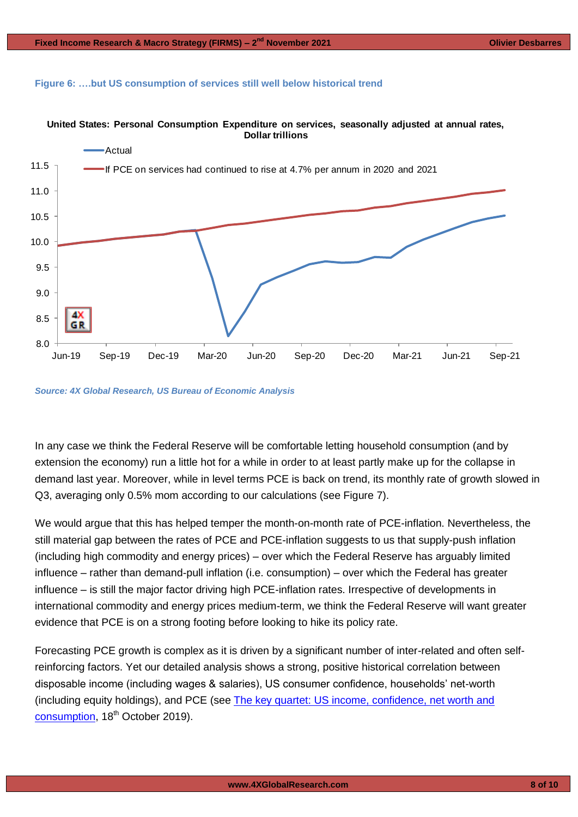## **Figure 6: ….but US consumption of services still well below historical trend**





*Source: 4X Global Research, US Bureau of Economic Analysis*

In any case we think the Federal Reserve will be comfortable letting household consumption (and by extension the economy) run a little hot for a while in order to at least partly make up for the collapse in demand last year. Moreover, while in level terms PCE is back on trend, its monthly rate of growth slowed in Q3, averaging only 0.5% mom according to our calculations (see Figure 7).

We would argue that this has helped temper the month-on-month rate of PCE-inflation. Nevertheless, the still material gap between the rates of PCE and PCE-inflation suggests to us that supply-push inflation (including high commodity and energy prices) – over which the Federal Reserve has arguably limited influence – rather than demand-pull inflation (i.e. consumption) – over which the Federal has greater influence – is still the major factor driving high PCE-inflation rates. Irrespective of developments in international commodity and energy prices medium-term, we think the Federal Reserve will want greater evidence that PCE is on a strong footing before looking to hike its policy rate.

Forecasting PCE growth is complex as it is driven by a significant number of inter-related and often selfreinforcing factors. Yet our detailed analysis shows a strong, positive historical correlation between disposable income (including wages & salaries), US consumer confidence, households' net-worth (including equity holdings), and PCE (see [The key quartet: US income, confidence, net worth and](https://gallery.mailchimp.com/948838a86ce72ab6d8019a39d/files/c09adf3c-3f2b-4f46-94fc-006835409bec/4X_Global_Research_The_key_quartet__US_income_confidence_net_worth_and_consumption.pdf)  [consumption,](https://gallery.mailchimp.com/948838a86ce72ab6d8019a39d/files/c09adf3c-3f2b-4f46-94fc-006835409bec/4X_Global_Research_The_key_quartet__US_income_confidence_net_worth_and_consumption.pdf) 18<sup>th</sup> October 2019).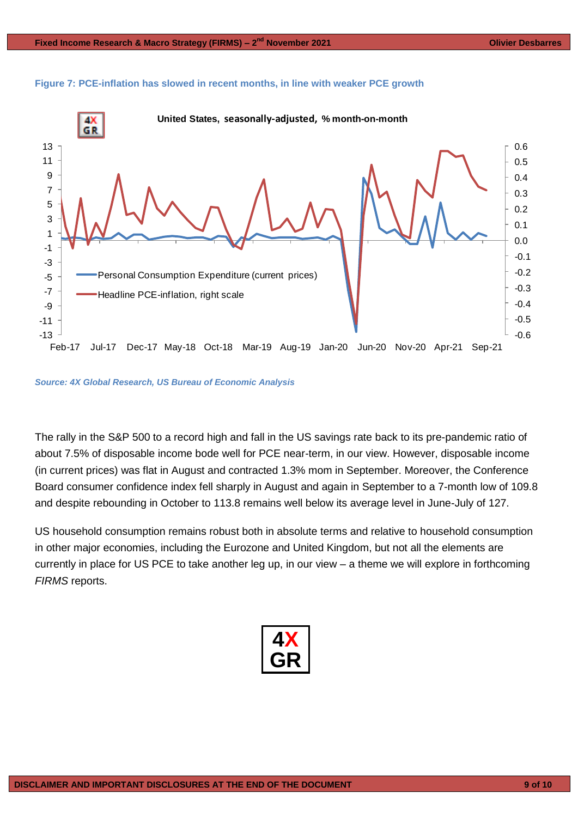



#### *Source: 4X Global Research, US Bureau of Economic Analysis*

The rally in the S&P 500 to a record high and fall in the US savings rate back to its pre-pandemic ratio of about 7.5% of disposable income bode well for PCE near-term, in our view. However, disposable income (in current prices) was flat in August and contracted 1.3% mom in September. Moreover, the Conference Board consumer confidence index fell sharply in August and again in September to a 7-month low of 109.8 and despite rebounding in October to 113.8 remains well below its average level in June-July of 127.

US household consumption remains robust both in absolute terms and relative to household consumption in other major economies, including the Eurozone and United Kingdom, but not all the elements are currently in place for US PCE to take another leg up, in our view – a theme we will explore in forthcoming *FIRMS* reports.